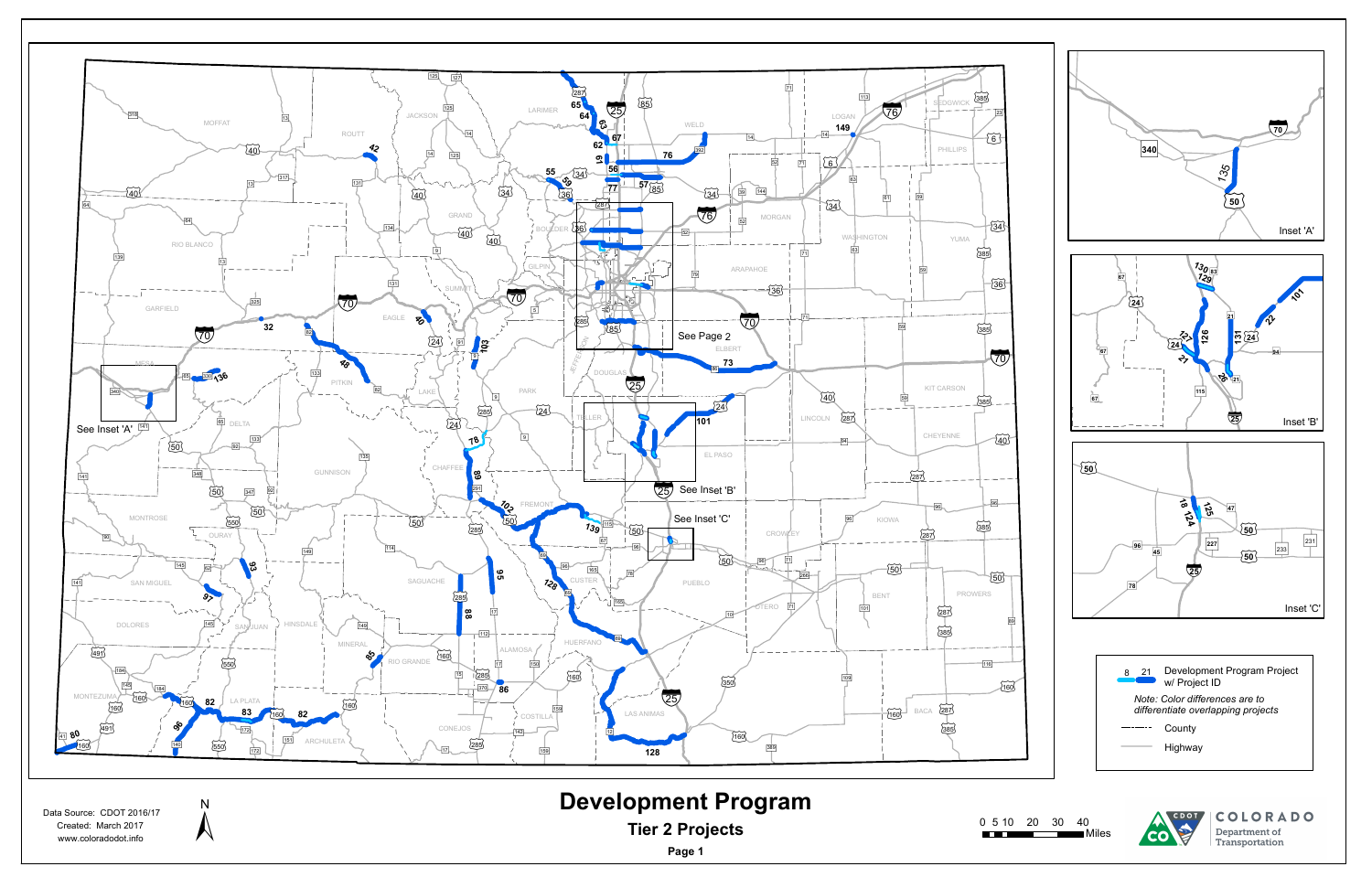